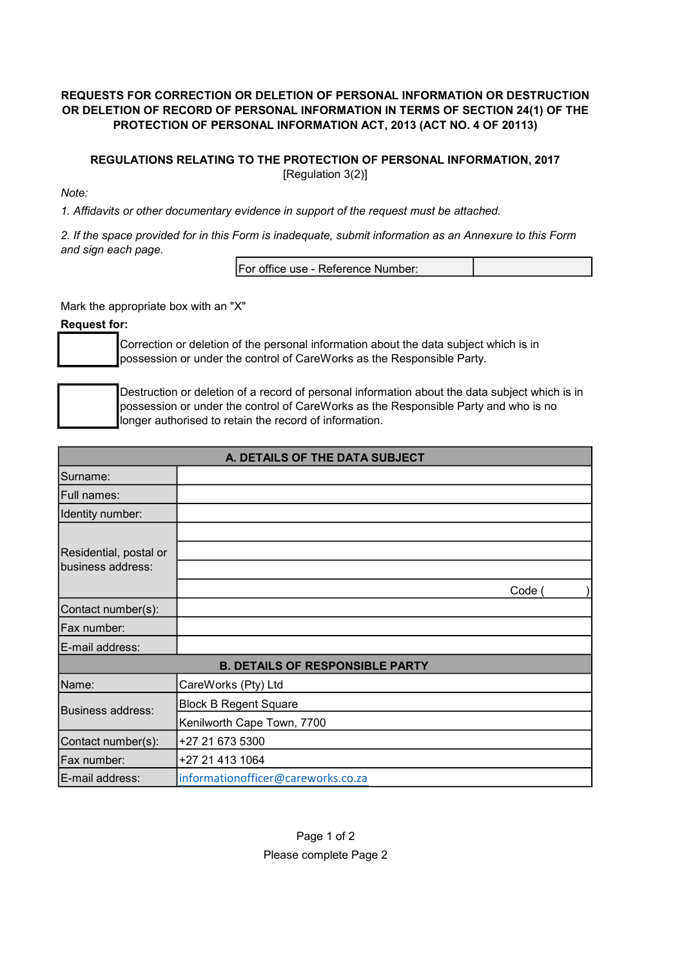## REQUESTS FOR CORRECTION OR DELETION OF PERSONAL INFORMATION OR DESTRUCTION OR DELETION OF RECORD OF PERSONAL INFORMATION IN TERMS OF SECTION 24(1) OF THE PROTECTION OF PERSONAL INFORMATION ACT, 2013 (ACT NO. 4 OF 20113)

## REGULATIONS RELATING TO THE PROTECTION OF PERSONAL INFORMATION, 2017 [Regulation 3(2)]

Note:

1. Affidavits or other documentary evidence in support of the request must be attached.

2. If the space provided for in this Form is inadequate, submit information as an Annexure to this Form and sign each page.

| IFor office use - Reference Number: |
|-------------------------------------|
|-------------------------------------|

Mark the appropriate box with an "X"

Request for:

Correction or deletion of the personal information about the data subject which is in possession or under the control of CareWorks as the Responsible Party.

Destruction or deletion of a record of personal information about the data subject which is in possession or under the control of CareWorks as the Responsible Party and who is no longer authorised to retain the record of information.

| A. DETAILS OF THE DATA SUBJECT         |                                    |      |  |  |  |
|----------------------------------------|------------------------------------|------|--|--|--|
| Surname:                               |                                    |      |  |  |  |
| Full names:                            |                                    |      |  |  |  |
| Identity number:                       |                                    |      |  |  |  |
|                                        |                                    |      |  |  |  |
| Residential, postal or                 |                                    |      |  |  |  |
| business address:                      |                                    |      |  |  |  |
|                                        |                                    | Code |  |  |  |
| Contact number(s):                     |                                    |      |  |  |  |
| Fax number:                            |                                    |      |  |  |  |
| E-mail address:                        |                                    |      |  |  |  |
| <b>B. DETAILS OF RESPONSIBLE PARTY</b> |                                    |      |  |  |  |
| Name:                                  | CareWorks (Pty) Ltd                |      |  |  |  |
| <b>Business address:</b>               | <b>Block B Regent Square</b>       |      |  |  |  |
|                                        | Kenilworth Cape Town, 7700         |      |  |  |  |
| Contact number(s):                     | +27 21 673 5300                    |      |  |  |  |
| Fax number:                            | +27 21 413 1064                    |      |  |  |  |
| E-mail address:                        | informationofficer@careworks.co.za |      |  |  |  |